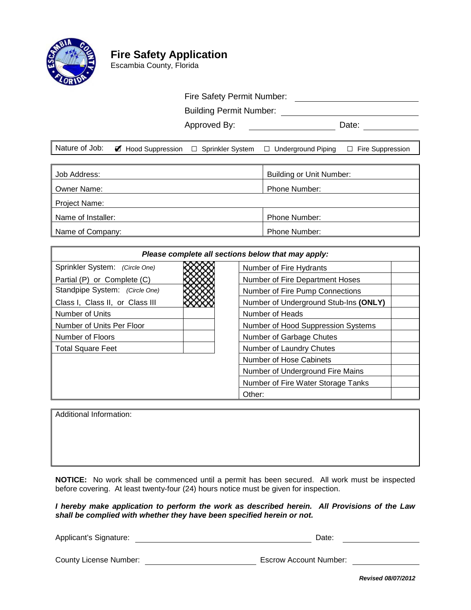

# **Fire Safety Application**

Escambia County, Florida

### Fire Safety Permit Number:

Building Permit Number:

Approved By: Date:

|  | Nature of Job: $\mathscr A$ Hood Suppression $\Box$ Sprinkler System $\Box$ Underground Piping $\Box$ Fire Suppression |  |
|--|------------------------------------------------------------------------------------------------------------------------|--|
|  |                                                                                                                        |  |

| Job Address:       | Building or Unit Number: |  |  |  |
|--------------------|--------------------------|--|--|--|
| Owner Name:        | Phone Number:            |  |  |  |
| Project Name:      |                          |  |  |  |
| Name of Installer: | <b>Phone Number:</b>     |  |  |  |
| Name of Company:   | <b>Phone Number:</b>     |  |  |  |

| Please complete all sections below that may apply: |                                       |  |  |
|----------------------------------------------------|---------------------------------------|--|--|
| Sprinkler System: (Circle One)                     | Number of Fire Hydrants               |  |  |
| Partial (P) or Complete (C)                        | Number of Fire Department Hoses       |  |  |
| Standpipe System: (Circle One)                     | Number of Fire Pump Connections       |  |  |
| Class I, Class II, or Class III                    | Number of Underground Stub-Ins (ONLY) |  |  |
| Number of Units                                    | Number of Heads                       |  |  |
| Number of Units Per Floor                          | Number of Hood Suppression Systems    |  |  |
| Number of Floors                                   | Number of Garbage Chutes              |  |  |
| <b>Total Square Feet</b>                           | Number of Laundry Chutes              |  |  |
|                                                    | Number of Hose Cabinets               |  |  |
|                                                    | Number of Underground Fire Mains      |  |  |
|                                                    | Number of Fire Water Storage Tanks    |  |  |
|                                                    | Other:                                |  |  |

Additional Information:

**NOTICE:** No work shall be commenced until a permit has been secured. All work must be inspected before covering. At least twenty-four (24) hours notice must be given for inspection.

*I hereby make application to perform the work as described herein. All Provisions of the Law shall be complied with whether they have been specified herein or not.*

Applicant's Signature: **Date:** Date: Date: Date: Date: Date: Date: Date: Date: Date: Date: Date: Date: Date: Date: Date: Date: Date: Date: Date: Date: Date: Date: Date: Date: Date: Date: Date: Date: Date: Date: Date: Date:

County License Number: Escrow Account Number:

*Revised 08/07/2012*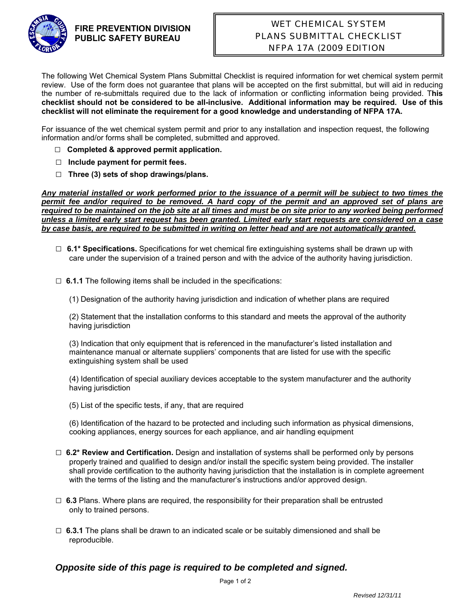

#### **FIRE PREVENTION DIVISION PUBLIC SAFETY BUREAU**

## WET CHEMICAL SYSTEM PLANS SUBMITTAL CHECKLIST NFPA 17A (2009 EDITION)

The following Wet Chemical System Plans Submittal Checklist is required information for wet chemical system permit review. Use of the form does not guarantee that plans will be accepted on the first submittal, but will aid in reducing the number of re-submittals required due to the lack of information or conflicting information being provided. T**his checklist should not be considered to be all-inclusive. Additional information may be required. Use of this checklist will not eliminate the requirement for a good knowledge and understanding of NFPA 17A.**

For issuance of the wet chemical system permit and prior to any installation and inspection request, the following information and/or forms shall be completed, submitted and approved.

- □ **Completed & approved permit application.**
- **□ Include payment for permit fees.**
- **□ Three (3) sets of shop drawings/plans.**

*Any material installed or work performed prior to the issuance of a permit will be subject to two times the permit fee and/or required to be removed. A hard copy of the permit and an approved set of plans are required to be maintained on the job site at all times and must be on site prior to any worked being performed unless a limited early start request has been granted. Limited early start requests are considered on a case by case basis, are required to be submitted in writing on letter head and are not automatically granted.* 

- □ **6.1\* Specifications.** Specifications for wet chemical fire extinguishing systems shall be drawn up with care under the supervision of a trained person and with the advice of the authority having jurisdiction.
- □ **6.1.1** The following items shall be included in the specifications:
	- (1) Designation of the authority having jurisdiction and indication of whether plans are required

(2) Statement that the installation conforms to this standard and meets the approval of the authority having jurisdiction

(3) Indication that only equipment that is referenced in the manufacturer's listed installation and maintenance manual or alternate suppliers' components that are listed for use with the specific extinguishing system shall be used

(4) Identification of special auxiliary devices acceptable to the system manufacturer and the authority having jurisdiction

(5) List of the specific tests, if any, that are required

(6) Identification of the hazard to be protected and including such information as physical dimensions, cooking appliances, energy sources for each appliance, and air handling equipment

- □ **6.2\* Review and Certification.** Design and installation of systems shall be performed only by persons properly trained and qualified to design and/or install the specific system being provided. The installer shall provide certification to the authority having jurisdiction that the installation is in complete agreement with the terms of the listing and the manufacturer's instructions and/or approved design.
- $\Box$  6.3 Plans. Where plans are required, the responsibility for their preparation shall be entrusted only to trained persons.
- $\Box$  **6.3.1** The plans shall be drawn to an indicated scale or be suitably dimensioned and shall be reproducible.

#### *Opposite side of this page is required to be completed and signed.*